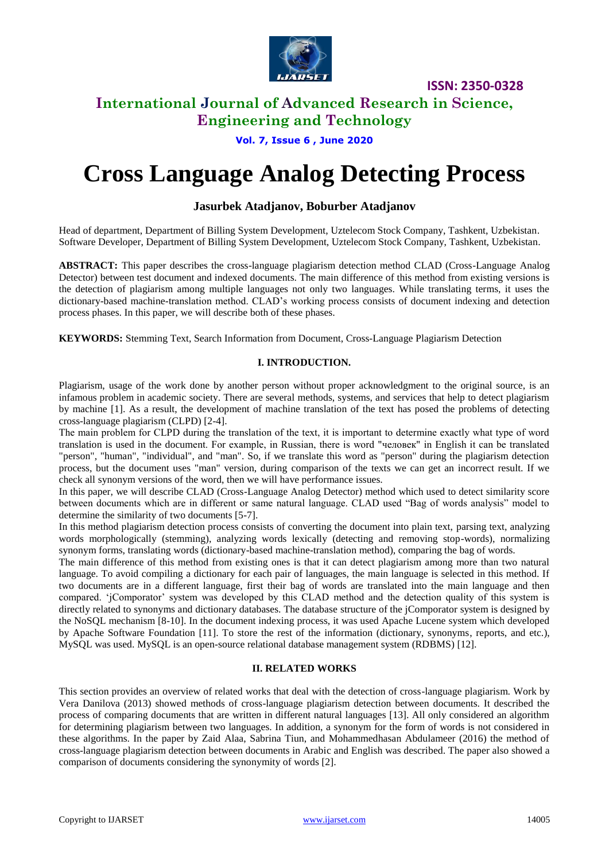

# **International Journal of Advanced Research in Science, Engineering and Technology**

**Vol. 7, Issue 6 , June 2020**

# **Cross Language Analog Detecting Process**

### **Jasurbek Atadjanov, Boburber Atadjanov**

Head of department, Department of Billing System Development, Uztelecom Stock Company, Tashkent, Uzbekistan. Software Developer, Department of Billing System Development, Uztelecom Stock Company, Tashkent, Uzbekistan.

**ABSTRACT:** This paper describes the cross-language plagiarism detection method CLAD (Cross-Language Analog Detector) between test document and indexed documents. The main difference of this method from existing versions is the detection of plagiarism among multiple languages not only two languages. While translating terms, it uses the dictionary-based machine-translation method. CLAD's working process consists of document indexing and detection process phases. In this paper, we will describe both of these phases.

**KEYWORDS:** Stemming Text, Search Information from Document, Cross-Language Plagiarism Detection

### **I. INTRODUCTION.**

Plagiarism, usage of the work done by another person without proper acknowledgment to the original source, is an infamous problem in academic society. There are several methods, systems, and services that help to detect plagiarism by machine [1]. As a result, the development of machine translation of the text has posed the problems of detecting cross-language plagiarism (CLPD) [2-4].

The main problem for СLPD during the translation of the text, it is important to determine exactly what type of word translation is used in the document. For example, in Russian, there is word "человек" in English it can be translated "person", "human", "individual", and "man". So, if we translate this word as "person" during the plagiarism detection process, but the document uses "man" version, during comparison of the texts we can get an incorrect result. If we check all synonym versions of the word, then we will have performance issues.

In this paper, we will describe CLAD (Cross-Language Analog Detector) method which used to detect similarity score between documents which are in different or same natural language. CLAD used "Bag of words analysis" model to determine the similarity of two documents [5-7].

In this method plagiarism detection process consists of converting the document into plain text, parsing text, analyzing words morphologically (stemming), analyzing words lexically (detecting and removing stop-words), normalizing synonym forms, translating words (dictionary-based machine-translation method), comparing the bag of words.

The main difference of this method from existing ones is that it can detect plagiarism among more than two natural language. To avoid compiling a dictionary for each pair of languages, the main language is selected in this method. If two documents are in a different language, first their bag of words are translated into the main language and then compared. 'jComporator' system was developed by this CLAD method and the detection quality of this system is directly related to synonyms and dictionary databases. The database structure of the jComporator system is designed by the NoSQL mechanism [8-10]. In the document indexing process, it was used Apache Lucene system which developed by Apache Software Foundation [11]. To store the rest of the information (dictionary, synonyms, reports, and etc.), MySQL was used. MySQL is an open-source relational database management system (RDBMS) [12].

### **II. RELATED WORKS**

This section provides an overview of related works that deal with the detection of cross-language plagiarism. Work by Vera Danilova (2013) showed methods of cross-language plagiarism detection between documents. It described the process of comparing documents that are written in different natural languages [13]. All only considered an algorithm for determining plagiarism between two languages. In addition, a synonym for the form of words is not considered in these algorithms. In the paper by Zaid Alaa, Sabrina Tiun, and Mohammedhasan Abdulameer (2016) the method of cross-language plagiarism detection between documents in Arabic and English was described. The paper also showed a comparison of documents considering the synonymity of words [2].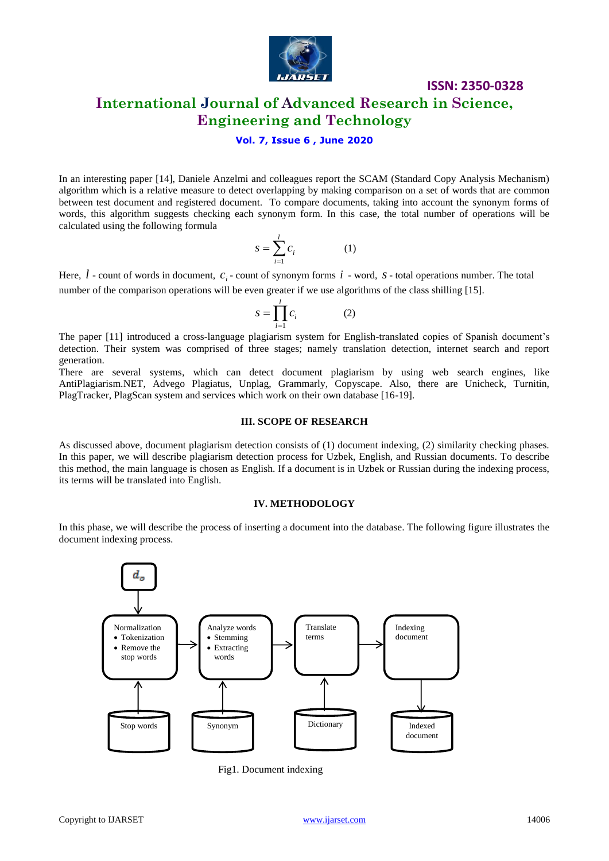

# **International Journal of Advanced Research in Science, Engineering and Technology**

### **Vol. 7, Issue 6 , June 2020**

In an interesting paper [14], Daniele Anzelmi and colleagues report the SCAM (Standard Copy Analysis Mechanism) algorithm which is a relative measure to detect overlapping by making comparison on a set of words that are common between test document and registered document. To compare documents, taking into account the synonym forms of words, this algorithm suggests checking each synonym form. In this case, the total number of operations will be calculated using the following formula

$$
s = \sum_{i=1}^{l} c_i \tag{1}
$$

Here,  $l$  - count of words in document,  $c_i$ - count of synonym forms  $i$  - word,  $s$ -total operations number. The total number of the comparison operations will be even greater if we use algorithms of the class shilling [15].

$$
s = \prod_{i=1}^{l} c_i \tag{2}
$$

The paper [11] introduced a cross-language plagiarism system for English-translated copies of Spanish document's detection. Their system was comprised of three stages; namely translation detection, internet search and report generation.

There are several systems, which can detect document plagiarism by using web search engines, like AntiPlagiarism.NET, Advego Plagiatus, Unplag, Grammarly, Copyscape. Also, there are Unicheck, Turnitin, PlagTracker, PlagScan system and services which work on their own database [16-19].

#### **III. SCOPE OF RESEARCH**

As discussed above, document plagiarism detection consists of (1) document indexing, (2) similarity checking phases. In this paper, we will describe plagiarism detection process for Uzbek, English, and Russian documents. To describe this method, the main language is chosen as English. If a document is in Uzbek or Russian during the indexing process, its terms will be translated into English.

#### **IV. METHODOLOGY**

In this phase, we will describe the process of inserting a document into the database. The following figure illustrates the document indexing process.



Fig1. Document indexing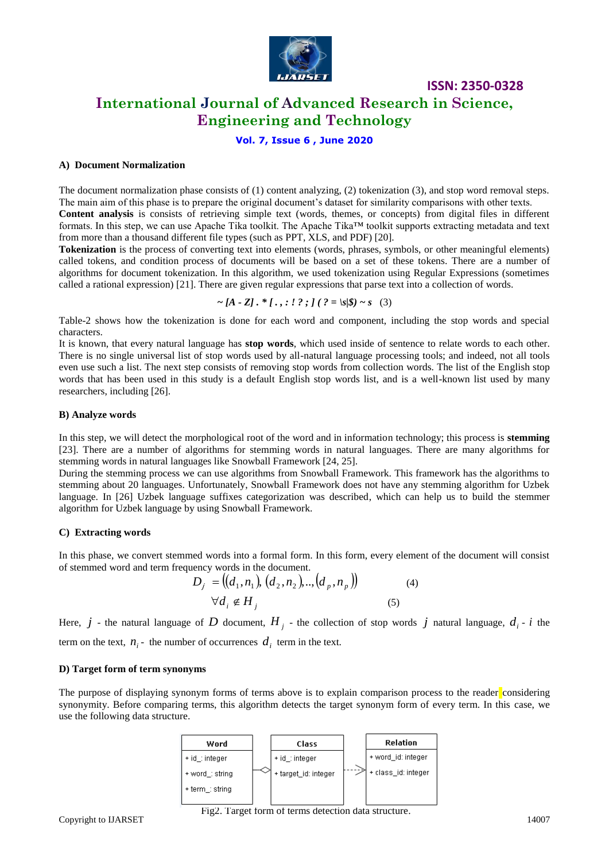

# **International Journal of Advanced Research in Science, Engineering and Technology**

**ISSN: 2350-0328**

### **Vol. 7, Issue 6 , June 2020**

### **A) Document Normalization**

The document normalization phase consists of (1) content analyzing, (2) tokenization (3), and stop word removal steps. The main aim of this phase is to prepare the original document's dataset for similarity comparisons with other texts. **Content analysis** is consists of retrieving simple text (words, themes, or concepts) from digital files in different formats. In this step, we can use Apache Tika toolkit. The Apache Tika™ toolkit supports extracting metadata and text from more than a thousand different file types (such as PPT, XLS, and PDF) [20].

**Tokenization** is the process of converting text into elements (words, phrases, symbols, or other meaningful elements) called tokens, and condition process of documents will be based on a set of these tokens. There are a number of algorithms for document tokenization. In this algorithm, we used tokenization using Regular Expressions (sometimes called a rational expression) [21]. There are given regular expressions that parse text into a collection of words.

$$
\sim [A - Z] \cdot * [., : ! ? ; ] ( ? = |s| \$) \sim s
$$
 (3)

Table-2 shows how the tokenization is done for each word and component, including the stop words and special characters.

It is known, that every natural language has **stop words**, which used inside of sentence to relate words to each other. There is no single universal list of stop words used by all-natural language processing tools; and indeed, not all tools even use such a list. The next step consists of removing stop words from collection words. The list of the English stop words that has been used in this study is a default English stop words list, and is a well-known list used by many researchers, including [26].

### **B) Analyze words**

In this step, we will detect the morphological root of the word and in information technology; this process is **stemming** [23]. There are a number of algorithms for stemming words in natural languages. There are many algorithms for stemming words in natural languages like Snowball Framework [24, 25].

During the stemming process we can use algorithms from Snowball Framework. This framework has the algorithms to stemming about 20 languages. Unfortunately, Snowball Framework does not have any stemming algorithm for Uzbek language. In [26] Uzbek language suffixes categorization was described, which can help us to build the stemmer algorithm for Uzbek language by using Snowball Framework.

### **C) Extracting words**

In this phase, we convert stemmed words into a formal form. In this form, every element of the document will consist of stemmed word and term frequency words in the document.

$$
D_j = ((d_1, n_1), (d_2, n_2), ..., (d_p, n_p))
$$
  

$$
\forall d_i \notin H_j
$$
 (5)

Here,  $j$  - the natural language of  $D$  document,  $H_j$  - the collection of stop words  $j$  natural language,  $d_i$  -  $i$  the

term on the text,  $n_i$  - the number of occurrences  $d_i$  term in the text.

### **D) Target form of term synonyms**

The purpose of displaying synonym forms of terms above is to explain comparison process to the reader considering synonymity. Before comparing terms, this algorithm detects the target synonym form of every term. In this case, we use the following data structure.

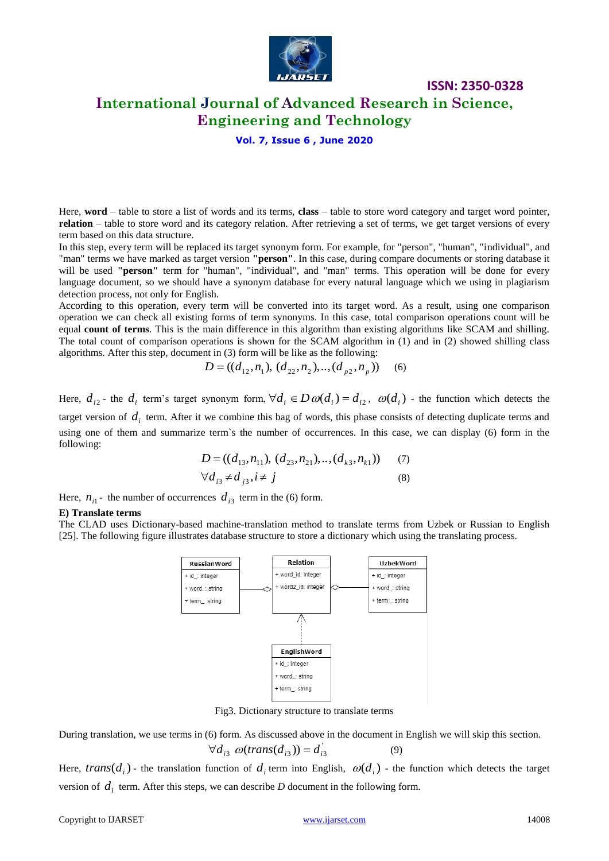

# **International Journal of Advanced Research in Science, Engineering and Technology**

**ISSN: 2350-0328**

### **Vol. 7, Issue 6 , June 2020**

Here, **word** – table to store a list of words and its terms, **class** – table to store word category and target word pointer, **relation** – table to store word and its category relation. After retrieving a set of terms, we get target versions of every term based on this data structure.

In this step, every term will be replaced its target synonym form. For example, for "person", "human", "individual", and "man" terms we have marked as target version **"person"**. In this case, during compare documents or storing database it will be used **"person"** term for "human", "individual", and "man" terms. This operation will be done for every language document, so we should have a synonym database for every natural language which we using in plagiarism detection process, not only for English.

According to this operation, every term will be converted into its target word. As a result, using one comparison operation we can check all existing forms of term synonyms. In this case, total comparison operations count will be equal **count of terms**. This is the main difference in this algorithm than existing algorithms like SCAM and shilling. The total count of comparison operations is shown for the SCAM algorithm in (1) and in (2) showed shilling class algorithms. After this step, document in (3) form will be like as the following:

$$
D = ((d_{12}, n_1), (d_{22}, n_2), \dots, (d_{p2}, n_p)) \quad (6)
$$

Here,  $d_{i2}$ - the  $d_i$  term's target synonym form,  $\forall d_i \in D \omega(d_i) = d_{i2}$ ,  $\omega(d_i)$  - the function which detects the target version of  $d_i$  term. After it we combine this bag of words, this phase consists of detecting duplicate terms and using one of them and summarize term`s the number of occurrences. In this case, we can display (6) form in the following:

$$
D = ((d_{13}, n_{11}), (d_{23}, n_{21}), \dots, (d_{k3}, n_{k1})) \quad (7)
$$
  

$$
\forall d_{i3} \neq d_{j3}, i \neq j \quad (8)
$$

Here,  $n_{i1}$ - the number of occurrences  $d_{i3}$  term in the (6) form.

#### **E) Translate terms**

The CLAD uses Dictionary-based machine-translation method to translate terms from Uzbek or Russian to English [25]. The following figure illustrates database structure to store a dictionary which using the translating process.



Fig3. Dictionary structure to translate terms

During translation, we use terms in (6) form. As discussed above in the document in English we will skip this section.  $\forall d_{i3} \ \omega(trans(d_{i3})) = d'_{i3}$  (9)

Here, *trans*  $(d_i)$  - the translation function of  $d_i$  term into English,  $\omega(d_i)$  - the function which detects the target version of  $d_i$  term. After this steps, we can describe *D* document in the following form.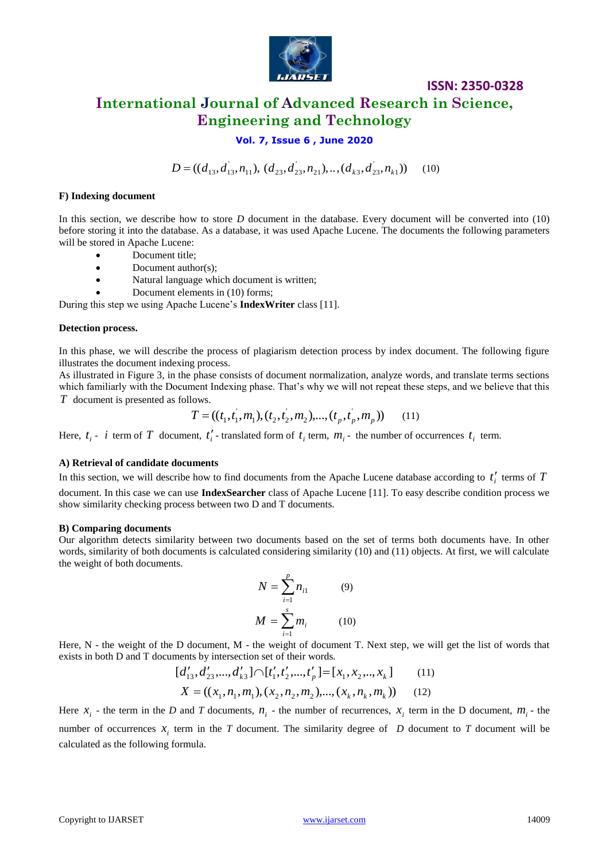

# **ISSN: 2350-0328 International Journal of Advanced Research in Science, Engineering and Technology**

### **Vol. 7, Issue 6 , June 2020**

 $D = ((d_{13}, d_{13}, n_{11}), (d_{23}, d_{23}, n_{21}), \ldots, (d_{k3}, d_{23}, n_{k})$ (10)

### **F) Indexing document**

In this section, we describe how to store *D* document in the database. Every document will be converted into (10) before storing it into the database. As a database, it was used Apache Lucene. The documents the following parameters will be stored in Apache Lucene:

- Document title;
- Document author(s):
- Natural language which document is written;
- Document elements in (10) forms;

During this step we using Apache Lucene's **IndexWriter** class [11].

#### **Detection process.**

In this phase, we will describe the process of plagiarism detection process by index document. The following figure illustrates the document indexing process.

As illustrated in Figure 3, in the phase consists of document normalization, analyze words, and translate terms sections which familiarly with the Document Indexing phase. That's why we will not repeat these steps, and we believe that this *T* document is presented as follows.

$$
T = ((t_1, t_1, m_1), (t_2, t_2, m_2), ..., (t_p, t_p, m_p)) \tag{11}
$$

Here,  $t_i$  - *i* term of T document,  $t'_i$  - translated form of  $t_i$  term,  $m_i$  - the number of occurrences  $t_i$  term.

#### **A) Retrieval of candidate documents**

In this section, we will describe how to find documents from the Apache Lucene database according to  $t_i'$  terms of  $T$ document. In this case we can use **IndexSearcher** class of Apache Lucene [11]. To easy describe condition process we show similarity checking process between two D and T documents.

#### **B) Comparing documents**

Our algorithm detects similarity between two documents based on the set of terms both documents have. In other words, similarity of both documents is calculated considering similarity (10) and (11) objects. At first, we will calculate the weight of both documents.

$$
N = \sum_{i=1}^{p} n_{i1}
$$
 (9)  

$$
M = \sum_{i=1}^{s} m_{i}
$$
 (10)

Here, N - the weight of the D document, M - the weight of document T. Next step, we will get the list of words that exists in both D and T documents by intersection set of their words.

$$
[d'_{13}, d'_{23}, ..., d'_{k3}] \cap [t'_1, t'_2, ..., t'_p] = [x_1, x_2, ..., x_k]
$$
(11)  

$$
X = ((x_1, n_1, m_1), (x_2, n_2, m_2), ..., (x_k, n_k, m_k))
$$
(12)

 $D = (d_{H_1}, d_{11}, n_1), (d_{2,2}, d_{23}, n_{21}, \ldots, (d_{2,3}, d_{23}, n_{21}, \ldots))$  (10)<br> **Finding decurates the action we describe how is store.** *D* decurates the dealed experiment will be converted tota (Digitar stating it in the distribut Here  $x_i$  - the term in the *D* and *T* documents,  $n_i$  - the number of recurrences,  $x_i$  term in the *D* document,  $m_i$  - the number of occurrences  $x_i$  term in the *T* document. The similarity degree of *D* document to *T* document will be calculated as the following formula.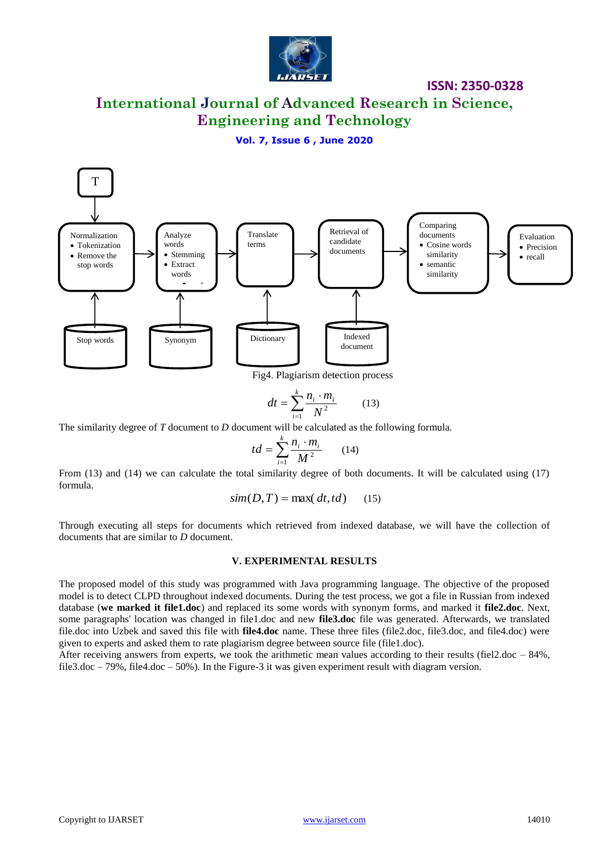

# **International Journal of Advanced Research in Science, Engineering and Technology**

### **Vol. 7, Issue 6 , June 2020**



Fig4. Plagiarism detection process

$$
dt = \sum_{i=1}^{k} \frac{n_i \cdot m_i}{N^2} \tag{13}
$$

The similarity degree of *T* document to *D* document will be calculated as the following formula.

$$
td = \sum_{i=1}^{k} \frac{n_i \cdot m_i}{M^2} \qquad (14)
$$

From (13) and (14) we can calculate the total similarity degree of both documents. It will be calculated using (17) formula.

$$
sim(D, T) = \max(dt, td) \qquad (15)
$$

Through executing all steps for documents which retrieved from indexed database, we will have the collection of documents that are similar to *D* document.

#### **V. EXPERIMENTAL RESULTS**

 $dt = \sum_{i=1}^{n} \frac{n_i}{N^2}$  (13)<br>
The similarity degree of *T* document to *D* document will be calculated as the following formula.<br>
From (13) and (14) we can calculate the total similarity degree of both documents. It will The proposed model of this study was programmed with Java programming language. The objective of the proposed model is to detect CLPD throughout indexed documents. During the test process, we got a file in Russian from indexed database (**we marked it file1.doc**) and replaced its some words with synonym forms, and marked it **file2.doc**. Next, some paragraphs' location was changed in file1.doc and new **file3.doc** file was generated. Afterwards, we translated file.doc into Uzbek and saved this file with **file4.doc** name. These three files (file2.doc, file3.doc, and file4.doc) were given to experts and asked them to rate plagiarism degree between source file (file1.doc).

After receiving answers from experts, we took the arithmetic mean values according to their results (fiel2.doc  $-84\%$ , file3.doc – 79%, file4.doc – 50%). In the Figure-3 it was given experiment result with diagram version.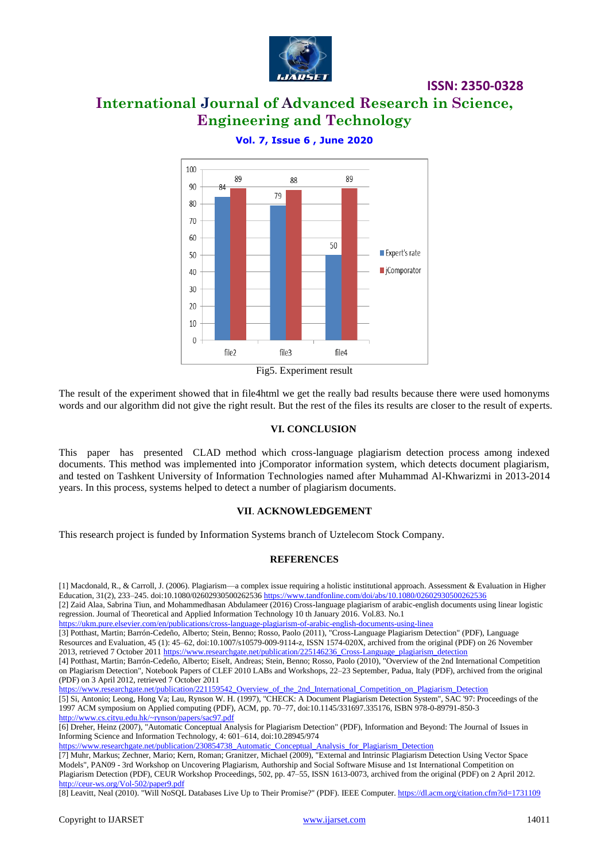

# **International Journal of Advanced Research in Science, Engineering and Technology**



**Vol. 7, Issue 6 , June 2020**

The result of the experiment showed that in file4html we get the really bad results because there were used homonyms words and our algorithm did not give the right result. But the rest of the files its results are closer to the result of experts.

### **VI. CONCLUSION**

This paper has presented CLAD method which cross-language plagiarism detection process among indexed documents. This method was implemented into jComporator information system, which detects document plagiarism, and tested on Tashkent University of Information Technologies named after Muhammad Al-Khwarizmi in 2013-2014 years. In this process, systems helped to detect a number of plagiarism documents.

### **VII**. **ACKNOWLEDGEMENT**

This research project is funded by Information Systems branch of Uztelecom Stock Company.

### **REFERENCES**

[1] Macdonald, R., & Carroll, J. (2006). Plagiarism—a complex issue requiring a holistic institutional approach. Assessment & Evaluation in Higher Education, 31(2), 233–245. doi:10.1080/02602930500262536 <https://www.tandfonline.com/doi/abs/10.1080/02602930500262536>

[2] Zaid Alaa, Sabrina Tiun, and Mohammedhasan Abdulameer (2016) Cross-language plagiarism of arabic-english documents using linear logistic regression. Journal of Theoretical and Applied Information Technology 10 th January 2016. Vol.83. No.1

<https://ukm.pure.elsevier.com/en/publications/cross-language-plagiarism-of-arabic-english-documents-using-linea>

[3] Potthast, Martin; Barrón-Cedeño, Alberto; Stein, Benno; Rosso, Paolo (2011), "Cross-Language Plagiarism Detection" (PDF), Language Resources and Evaluation, 45 (1): 45–62, doi:10.1007/s10579-009-9114-z, ISSN 1574-020X, archived from the original (PDF) on 26 November 2013, retrieved 7 October 2011 [https://www.researchgate.net/publication/225146236\\_Cross-Language\\_plagiarism\\_detection](https://www.researchgate.net/publication/225146236_Cross-Language_plagiarism_detection) [4] Potthast, Martin; Barrón-Cedeño, Alberto; Eiselt, Andreas; Stein, Benno; Rosso, Paolo (2010), "Overview of the 2nd International Competition

on Plagiarism Detection", Notebook Papers of CLEF 2010 LABs and Workshops, 22–23 September, Padua, Italy (PDF), archived from the original (PDF) on 3 April 2012, retrieved 7 October 2011

[https://www.researchgate.net/publication/221159542\\_Overview\\_of\\_the\\_2nd\\_International\\_Competition\\_on\\_Plagiarism\\_Detection](https://www.researchgate.net/publication/221159542_Overview_of_the_2nd_International_Competition_on_Plagiarism_Detection)

[5] Si, Antonio; Leong, Hong Va; Lau, Rynson W. H. (1997), "CHECK: A Document Plagiarism Detection System", SAC '97: Proceedings of the 1997 ACM symposium on Applied computing (PDF), ACM, pp. 70–77, doi:10.1145/331697.335176, ISBN 978-0-89791-850-3 <http://www.cs.cityu.edu.hk/~rynson/papers/sac97.pdf>

[6] Dreher, Heinz (2007), "Automatic Conceptual Analysis for Plagiarism Detection" (PDF), Information and Beyond: The Journal of Issues in Informing Science and Information Technology, 4: 601–614, doi:10.28945/974

[https://www.researchgate.net/publication/230854738\\_Automatic\\_Conceptual\\_Analysis\\_for\\_Plagiarism\\_Detection](https://www.researchgate.net/publication/230854738_Automatic_Conceptual_Analysis_for_Plagiarism_Detection)

[7] Muhr, Markus; Zechner, Mario; Kern, Roman; Granitzer, Michael (2009), "External and Intrinsic Plagiarism Detection Using Vector Space Models", PAN09 - 3rd Workshop on Uncovering Plagiarism, Authorship and Social Software Misuse and 1st International Competition on Plagiarism Detection (PDF), CEUR Workshop Proceedings, 502, pp. 47–55, ISSN 1613-0073, archived from the original (PDF) on 2 April 2012. <http://ceur-ws.org/Vol-502/paper9.pdf>

[8] Leavitt, Neal (2010). "Will NoSQL Databases Live Up to Their Promise?" (PDF). IEEE Computer[. https://dl.acm.org/citation.cfm?id=1731109](https://dl.acm.org/citation.cfm?id=1731109)